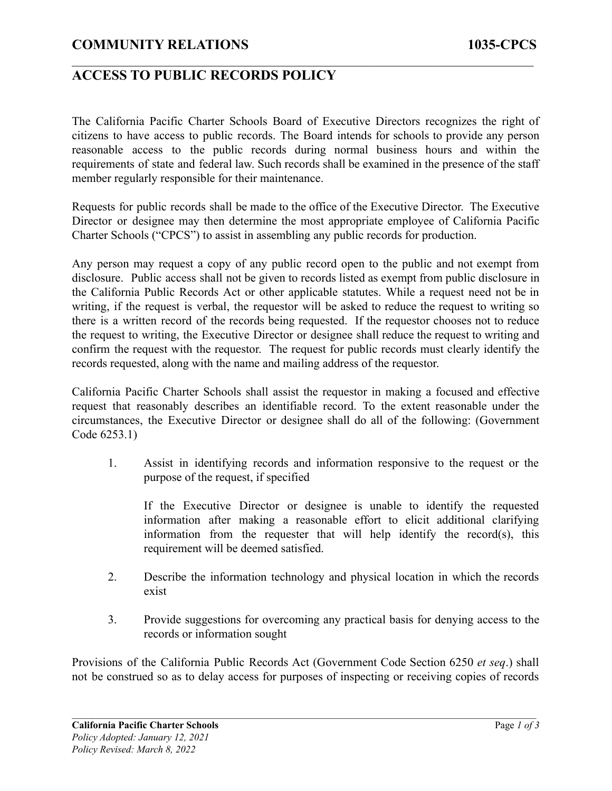### **COMMUNITY RELATIONS 1035-CPCS**

### **ACCESS TO PUBLIC RECORDS POLICY**

The California Pacific Charter Schools Board of Executive Directors recognizes the right of citizens to have access to public records. The Board intends for schools to provide any person reasonable access to the public records during normal business hours and within the requirements of state and federal law. Such records shall be examined in the presence of the staff member regularly responsible for their maintenance.

 $\mathcal{L}_\mathcal{L} = \{ \mathcal{L}_\mathcal{L} = \{ \mathcal{L}_\mathcal{L} = \{ \mathcal{L}_\mathcal{L} = \{ \mathcal{L}_\mathcal{L} = \{ \mathcal{L}_\mathcal{L} = \{ \mathcal{L}_\mathcal{L} = \{ \mathcal{L}_\mathcal{L} = \{ \mathcal{L}_\mathcal{L} = \{ \mathcal{L}_\mathcal{L} = \{ \mathcal{L}_\mathcal{L} = \{ \mathcal{L}_\mathcal{L} = \{ \mathcal{L}_\mathcal{L} = \{ \mathcal{L}_\mathcal{L} = \{ \mathcal{L}_\mathcal{$ 

Requests for public records shall be made to the office of the Executive Director. The Executive Director or designee may then determine the most appropriate employee of California Pacific Charter Schools ("CPCS") to assist in assembling any public records for production.

Any person may request a copy of any public record open to the public and not exempt from disclosure. Public access shall not be given to records listed as exempt from public disclosure in the California Public Records Act or other applicable statutes. While a request need not be in writing, if the request is verbal, the requestor will be asked to reduce the request to writing so there is a written record of the records being requested. If the requestor chooses not to reduce the request to writing, the Executive Director or designee shall reduce the request to writing and confirm the request with the requestor. The request for public records must clearly identify the records requested, along with the name and mailing address of the requestor.

California Pacific Charter Schools shall assist the requestor in making a focused and effective request that reasonably describes an identifiable record. To the extent reasonable under the circumstances, the Executive Director or designee shall do all of the following: (Government Code 6253.1)

1. Assist in identifying records and information responsive to the request or the purpose of the request, if specified

If the Executive Director or designee is unable to identify the requested information after making a reasonable effort to elicit additional clarifying information from the requester that will help identify the record(s), this requirement will be deemed satisfied.

- 2. Describe the information technology and physical location in which the records exist
- 3. Provide suggestions for overcoming any practical basis for denying access to the records or information sought

Provisions of the California Public Records Act (Government Code Section 6250 *et seq*.) shall not be construed so as to delay access for purposes of inspecting or receiving copies of records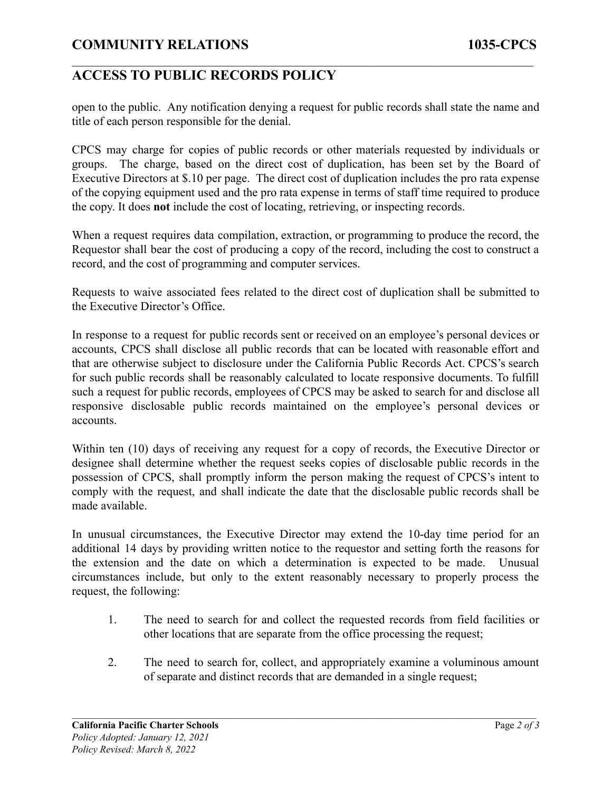# **COMMUNITY RELATIONS 1035-CPCS**

### **ACCESS TO PUBLIC RECORDS POLICY**

open to the public. Any notification denying a request for public records shall state the name and title of each person responsible for the denial.

 $\mathcal{L}_\mathcal{L} = \{ \mathcal{L}_\mathcal{L} = \{ \mathcal{L}_\mathcal{L} = \{ \mathcal{L}_\mathcal{L} = \{ \mathcal{L}_\mathcal{L} = \{ \mathcal{L}_\mathcal{L} = \{ \mathcal{L}_\mathcal{L} = \{ \mathcal{L}_\mathcal{L} = \{ \mathcal{L}_\mathcal{L} = \{ \mathcal{L}_\mathcal{L} = \{ \mathcal{L}_\mathcal{L} = \{ \mathcal{L}_\mathcal{L} = \{ \mathcal{L}_\mathcal{L} = \{ \mathcal{L}_\mathcal{L} = \{ \mathcal{L}_\mathcal{$ 

CPCS may charge for copies of public records or other materials requested by individuals or groups. The charge, based on the direct cost of duplication, has been set by the Board of Executive Directors at \$.10 per page. The direct cost of duplication includes the pro rata expense of the copying equipment used and the pro rata expense in terms of staff time required to produce the copy. It does **not** include the cost of locating, retrieving, or inspecting records.

When a request requires data compilation, extraction, or programming to produce the record, the Requestor shall bear the cost of producing a copy of the record, including the cost to construct a record, and the cost of programming and computer services.

Requests to waive associated fees related to the direct cost of duplication shall be submitted to the Executive Director's Office.

In response to a request for public records sent or received on an employee's personal devices or accounts, CPCS shall disclose all public records that can be located with reasonable effort and that are otherwise subject to disclosure under the California Public Records Act. CPCS's search for such public records shall be reasonably calculated to locate responsive documents. To fulfill such a request for public records, employees of CPCS may be asked to search for and disclose all responsive disclosable public records maintained on the employee's personal devices or accounts.

Within ten (10) days of receiving any request for a copy of records, the Executive Director or designee shall determine whether the request seeks copies of disclosable public records in the possession of CPCS, shall promptly inform the person making the request of CPCS's intent to comply with the request, and shall indicate the date that the disclosable public records shall be made available.

In unusual circumstances, the Executive Director may extend the 10-day time period for an additional 14 days by providing written notice to the requestor and setting forth the reasons for the extension and the date on which a determination is expected to be made. Unusual circumstances include, but only to the extent reasonably necessary to properly process the request, the following:

- 1. The need to search for and collect the requested records from field facilities or other locations that are separate from the office processing the request;
- 2. The need to search for, collect, and appropriately examine a voluminous amount of separate and distinct records that are demanded in a single request;